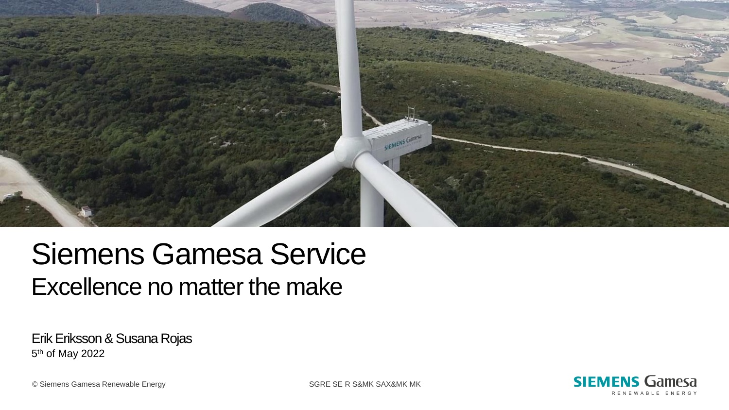

## Siemens Gamesa Service Excellence no matter the make

Erik Eriksson & Susana Rojas 5<sup>th</sup> of May 2022

> **SIEMENS Gamesa** RENEWABLE ENERGY

© Siemens Gamesa Renewable Energy SGRE SE R S&MK SAX&MK MK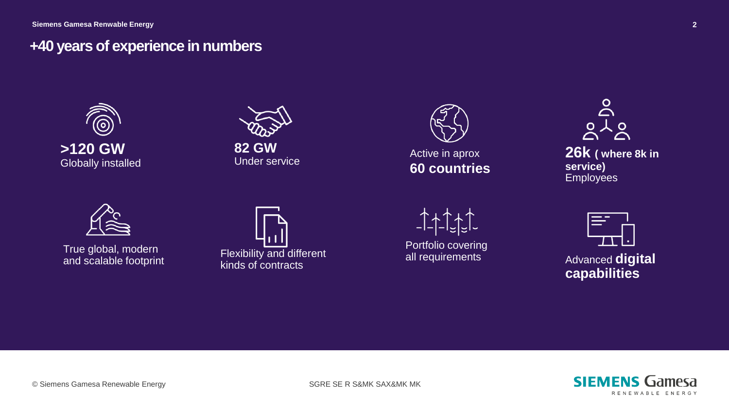#### **+40 years of experience in numbers**









Portfolio covering all requirements





Advanced **digital capabilities**



True global, modern and scalable footprint Flexibility and different kinds of contracts

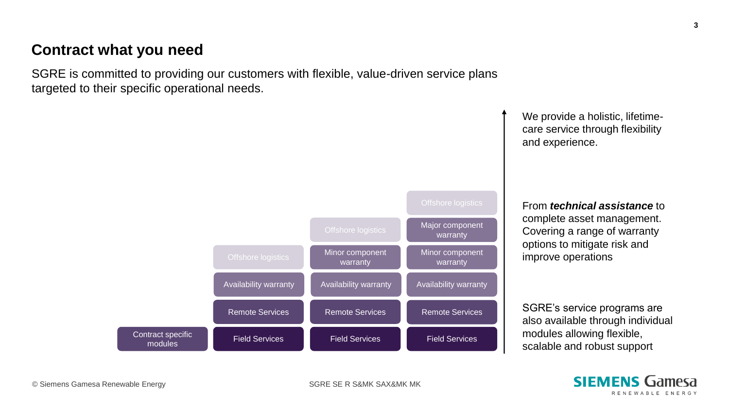#### **Contract what you need**

SGRE is committed to providing our customers with flexible, value-driven service plans targeted to their specific operational needs.



We provide a holistic, lifetimecare service through flexibility and experience.

From *technical assistance* to complete asset management. Covering a range of warranty options to mitigate risk and improve operations

SGRE's service programs are also available through individual modules allowing flexible, scalable and robust support

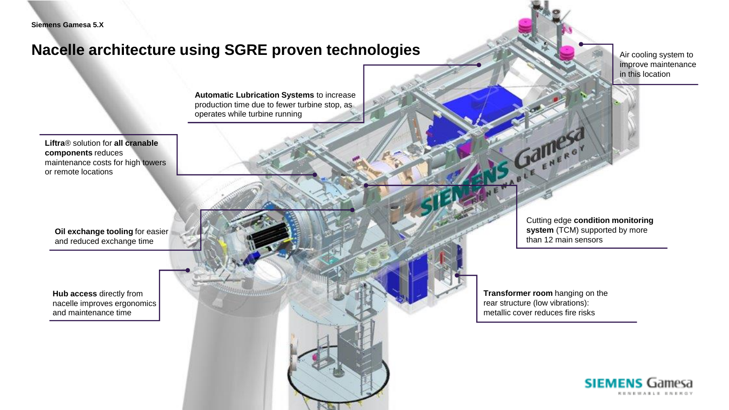#### **Nacelle architecture using SGRE proven technologies**

 $\Box$  Siemens Gamesa Renewable Energy SGRE SE R S $\Box$ 

Air cooling system to improve maintenance in this location

**Automatic Lubrication Systems** to increase production time due to fewer turbine stop, as operates while turbine running

**Liftra**® solution for **all cranable components** reduces maintenance costs for high towers or remote locations

**Oil exchange tooling** for easier and reduced exchange time

**Hub access** directly from nacelle improves ergonomics and maintenance time

Cutting edge **condition monitoring system** (TCM) supported by more than 12 main sensors

**Transformer room** hanging on the rear structure (low vibrations): metallic cover reduces fire risks

Gamese

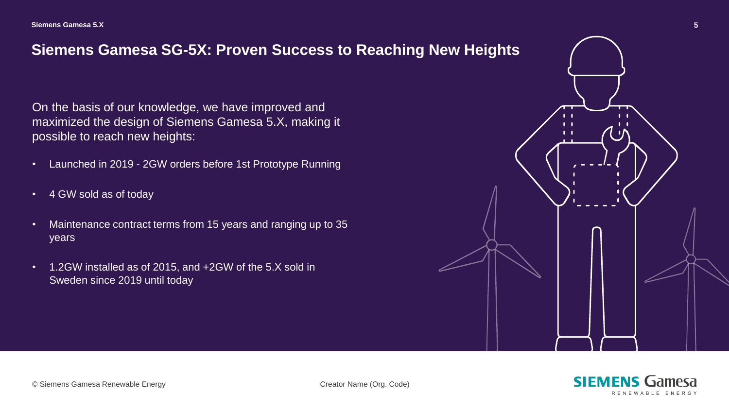#### **Siemens Gamesa SG-5X: Proven Success to Reaching New Heights**

On the basis of our knowledge, we have improved and maximized the design of Siemens Gamesa 5.X, making it possible to reach new heights:

- Launched in 2019 2GW orders before 1st Prototype Running
- 4 GW sold as of today
- Maintenance contract terms from 15 years and ranging up to 35 years
- 1.2GW installed as of 2015, and +2GW of the 5.X sold in Sweden since 2019 until today



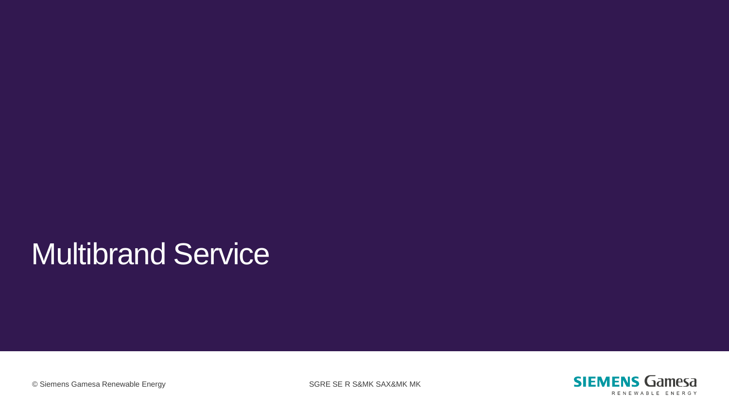# Multibrand Service



© Siemens Gamesa Renewable Energy SGRE SE R S&MK SAX&MK MK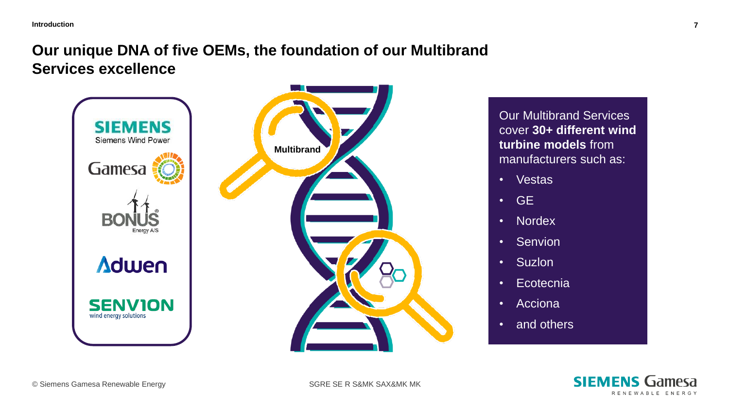### **Our unique DNA of five OEMs, the foundation of our Multibrand Services excellence**



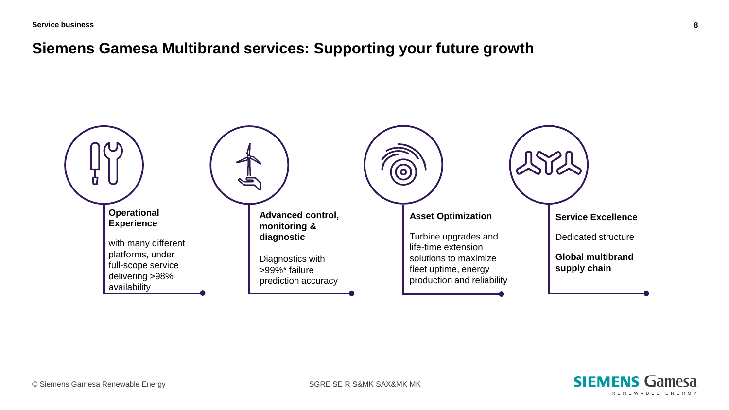#### **Siemens Gamesa Multibrand services: Supporting your future growth**